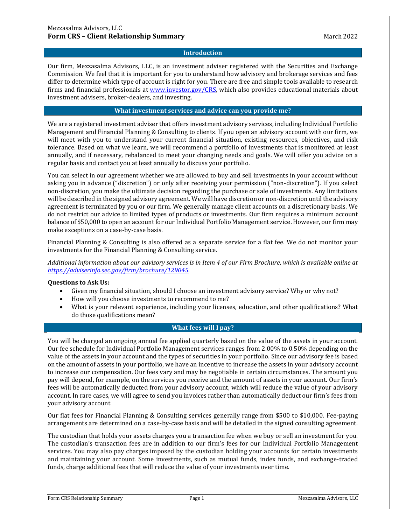# **Introduction**

Our firm, Mezzasalma Advisors, LLC, is an investment adviser registered with the Securities and Exchange Commission. We feel that it is important for you to understand how advisory and brokerage services and fees differ to determine which type of account is right for you. There are free and simple tools available to research firms and financial professionals at www.investor.gov/CRS, which also provides educational materials about investment advisers, broker-dealers, and investing.

### **What investment services and advice can you provide me?**

We are a registered investment adviser that offers investment advisory services, including Individual Portfolio Management and Financial Planning & Consulting to clients. If you open an advisory account with our firm, we will meet with you to understand your current financial situation, existing resources, objectives, and risk tolerance. Based on what we learn, we will recommend a portfolio of investments that is monitored at least annually, and if necessary, rebalanced to meet your changing needs and goals. We will offer you advice on a regular basis and contact you at least annually to discuss your portfolio.

You can select in our agreement whether we are allowed to buy and sell investments in your account without asking you in advance ("discretion") or only after receiving your permission ("non-discretion"). If you select non-discretion, you make the ultimate decision regarding the purchase or sale of investments. Any limitations will be described in the signed advisory agreement. We will have discretion or non-discretion until the advisory agreement is terminated by you or our firm. We generally manage client accounts on a discretionary basis. We do not restrict our advice to limited types of products or investments. Our firm requires a minimum account balance of \$50,000 to open an account for our Individual Portfolio Management service. However, our firm may make exceptions on a case-by-case basis.

Financial Planning & Consulting is also offered as a separate service for a flat fee. We do not monitor your investments for the Financial Planning & Consulting service.

*Additional information about our advisory services is in Item 4 of our Firm Brochure, which is available online at https://adviserinfo.sec.gov/firm/brochure/129045.*

#### **Questions to Ask Us:**

- Given my financial situation, should I choose an investment advisory service? Why or why not?
- How will you choose investments to recommend to me?
- What is your relevant experience, including your licenses, education, and other qualifications? What do those qualifications mean?

# **What fees will I pay?**

You will be charged an ongoing annual fee applied quarterly based on the value of the assets in your account. Our fee schedule for Individual Portfolio Management services ranges from 2.00% to 0.50% depending on the value of the assets in your account and the types of securities in your portfolio. Since our advisory fee is based on the amount of assets in your portfolio, we have an incentive to increase the assets in your advisory account to increase our compensation. Our fees vary and may be negotiable in certain circumstances. The amount you pay will depend, for example, on the services you receive and the amount of assets in your account. Our firm's fees will be automatically deducted from your advisory account, which will reduce the value of your advisory account. In rare cases, we will agree to send you invoices rather than automatically deduct our firm's fees from your advisory account.

Our flat fees for Financial Planning & Consulting services generally range from \$500 to \$10,000. Fee-paying arrangements are determined on a case-by-case basis and will be detailed in the signed consulting agreement.

The custodian that holds your assets charges you a transaction fee when we buy or sell an investment for you. The custodian's transaction fees are in addition to our firm's fees for our Individual Portfolio Management services. You may also pay charges imposed by the custodian holding your accounts for certain investments and maintaining your account. Some investments, such as mutual funds, index funds, and exchange-traded funds, charge additional fees that will reduce the value of your investments over time.